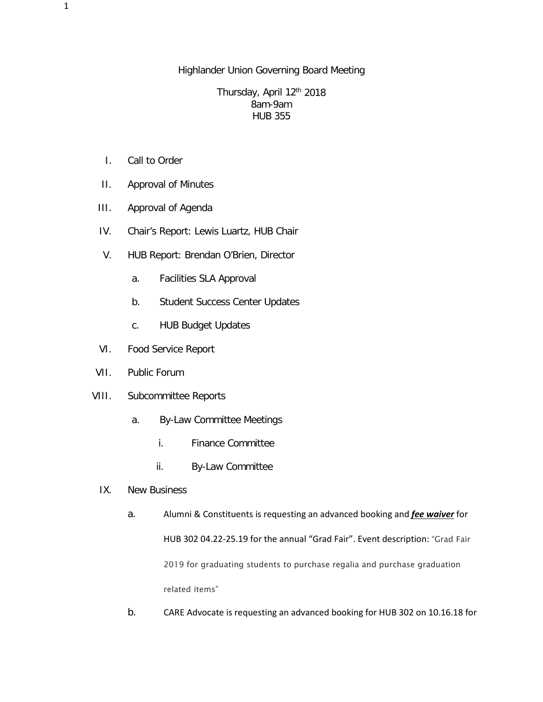## Highlander Union Governing Board Meeting

## Thursday, April 12<sup>th</sup> 2018 8am-9am HUB 355

- I. Call to Order
- II. Approval of Minutes
- III. Approval of Agenda
- IV. Chair's Report: Lewis Luartz, HUB Chair
- V. HUB Report: Brendan O'Brien, Director
	- a. Facilities SLA Approval
	- b. Student Success Center Updates
	- c. HUB Budget Updates
- VI. Food Service Report
- VII. Public Forum
- VIII. Subcommittee Reports
	- a. By-Law Committee Meetings
		- i. Finance Committee
		- ii. By-Law Committee
	- IX. New Business

## a. Alumni & Constituents is requesting an advanced booking and *fee waiver* for HUB 302 04.22-25.19 for the annual "Grad Fair". Event description: "Grad Fair 2019 for graduating students to purchase regalia and purchase graduation related items"

b. CARE Advocate is requesting an advanced booking for HUB 302 on 10.16.18 for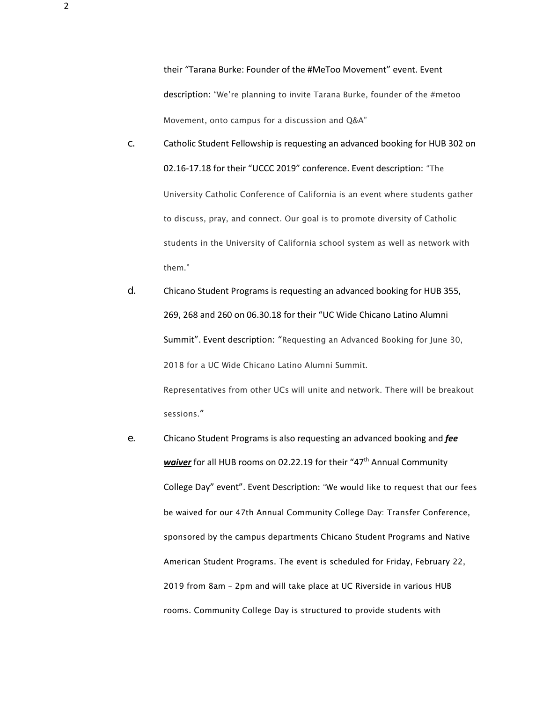their "Tarana Burke: Founder of the #MeToo Movement" event. Event description: "We're planning to invite Tarana Burke, founder of the #metoo Movement, onto campus for a discussion and Q&A"

- c. Catholic Student Fellowship is requesting an advanced booking for HUB 302 on 02.16-17.18 for their "UCCC 2019" conference. Event description: "The University Catholic Conference of California is an event where students gather to discuss, pray, and connect. Our goal is to promote diversity of Catholic students in the University of California school system as well as network with them."
- d. Chicano Student Programs is requesting an advanced booking for HUB 355, 269, 268 and 260 on 06.30.18 for their "UC Wide Chicano Latino Alumni Summit". Event description: "Requesting an Advanced Booking for June 30, 2018 for a UC Wide Chicano Latino Alumni Summit. Representatives from other UCs will unite and network. There will be breakout sessions."
- e. Chicano Student Programs is also requesting an advanced booking and *fee waiver* for all HUB rooms on 02.22.19 for their "47<sup>th</sup> Annual Community College Day" event". Event Description: "We would like to request that our fees be waived for our 47th Annual Community College Day: Transfer Conference, sponsored by the campus departments Chicano Student Programs and Native American Student Programs. The event is scheduled for Friday, February 22, 2019 from 8am – 2pm and will take place at UC Riverside in various HUB rooms. Community College Day is structured to provide students with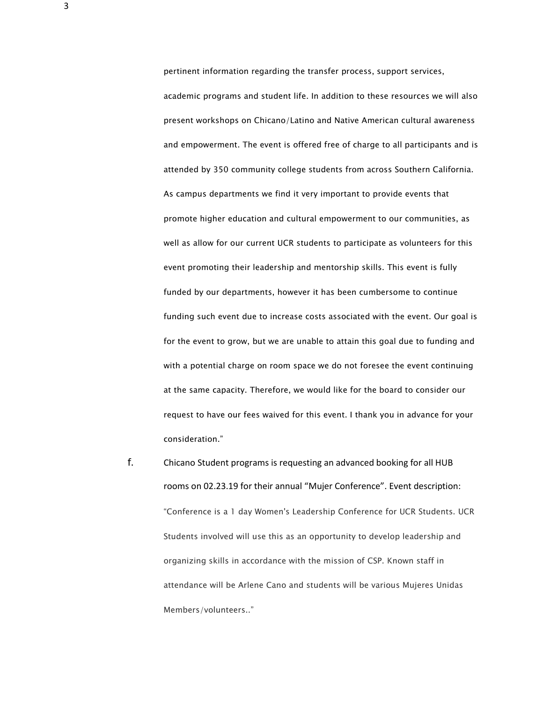pertinent information regarding the transfer process, support services,

academic programs and student life. In addition to these resources we will also present workshops on Chicano/Latino and Native American cultural awareness and empowerment. The event is offered free of charge to all participants and is attended by 350 community college students from across Southern California. As campus departments we find it very important to provide events that promote higher education and cultural empowerment to our communities, as well as allow for our current UCR students to participate as volunteers for this event promoting their leadership and mentorship skills. This event is fully funded by our departments, however it has been cumbersome to continue funding such event due to increase costs associated with the event. Our goal is for the event to grow, but we are unable to attain this goal due to funding and with a potential charge on room space we do not foresee the event continuing at the same capacity. Therefore, we would like for the board to consider our request to have our fees waived for this event. I thank you in advance for your consideration."

f. Chicano Student programs is requesting an advanced booking for all HUB rooms on 02.23.19 for their annual "Mujer Conference". Event description: "Conference is a 1 day Women's Leadership Conference for UCR Students. UCR Students involved will use this as an opportunity to develop leadership and organizing skills in accordance with the mission of CSP. Known staff in attendance will be Arlene Cano and students will be various Mujeres Unidas Members/volunteers.."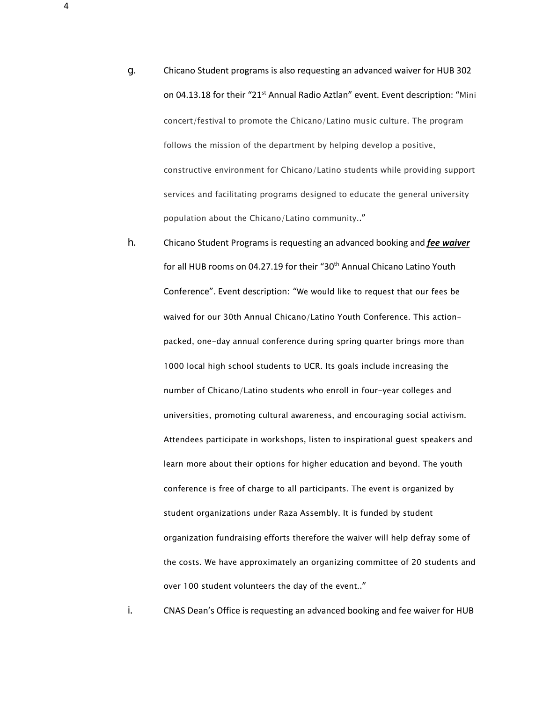- g. Chicano Student programs is also requesting an advanced waiver for HUB 302 on 04.13.18 for their "21<sup>st</sup> Annual Radio Aztlan" event. Event description: "Mini concert/festival to promote the Chicano/Latino music culture. The program follows the mission of the department by helping develop a positive, constructive environment for Chicano/Latino students while providing support services and facilitating programs designed to educate the general university population about the Chicano/Latino community.."
- h. Chicano Student Programs is requesting an advanced booking and *fee waiver* for all HUB rooms on 04.27.19 for their "30<sup>th</sup> Annual Chicano Latino Youth Conference". Event description: "We would like to request that our fees be waived for our 30th Annual Chicano/Latino Youth Conference. This actionpacked, one-day annual conference during spring quarter brings more than 1000 local high school students to UCR. Its goals include increasing the number of Chicano/Latino students who enroll in four-year colleges and universities, promoting cultural awareness, and encouraging social activism. Attendees participate in workshops, listen to inspirational guest speakers and learn more about their options for higher education and beyond. The youth conference is free of charge to all participants. The event is organized by student organizations under Raza Assembly. It is funded by student organization fundraising efforts therefore the waiver will help defray some of the costs. We have approximately an organizing committee of 20 students and over 100 student volunteers the day of the event.."

i. CNAS Dean's Office is requesting an advanced booking and fee waiver for HUB

4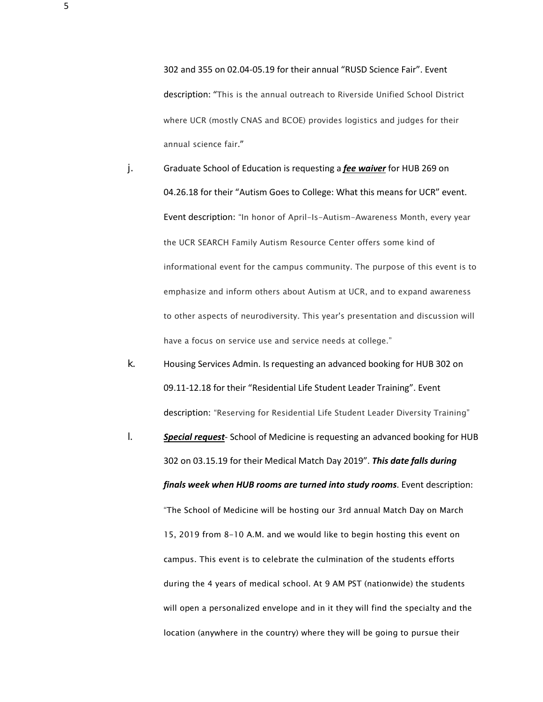302 and 355 on 02.04-05.19 for their annual "RUSD Science Fair". Event description: "This is the annual outreach to Riverside Unified School District where UCR (mostly CNAS and BCOE) provides logistics and judges for their annual science fair."

- j. Graduate School of Education is requesting a *fee waiver* for HUB 269 on 04.26.18 for their "Autism Goes to College: What this means for UCR" event. Event description: "In honor of April-Is-Autism-Awareness Month, every year the UCR SEARCH Family Autism Resource Center offers some kind of informational event for the campus community. The purpose of this event is to emphasize and inform others about Autism at UCR, and to expand awareness to other aspects of neurodiversity. This year's presentation and discussion will have a focus on service use and service needs at college."
- k. Housing Services Admin. Is requesting an advanced booking for HUB 302 on 09.11-12.18 for their "Residential Life Student Leader Training". Event description: "Reserving for Residential Life Student Leader Diversity Training"
- l. *Special request* School of Medicine is requesting an advanced booking for HUB 302 on 03.15.19 for their Medical Match Day 2019". *This date falls during finals week when HUB rooms are turned into study rooms*. Event description: "The School of Medicine will be hosting our 3rd annual Match Day on March 15, 2019 from 8-10 A.M. and we would like to begin hosting this event on campus. This event is to celebrate the culmination of the students efforts during the 4 years of medical school. At 9 AM PST (nationwide) the students will open a personalized envelope and in it they will find the specialty and the location (anywhere in the country) where they will be going to pursue their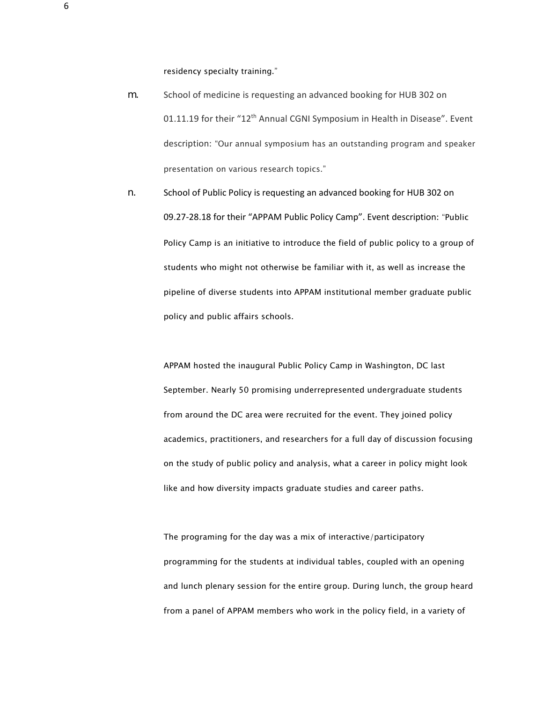residency specialty training."

- m. School of medicine is requesting an advanced booking for HUB 302 on 01.11.19 for their "12<sup>th</sup> Annual CGNI Symposium in Health in Disease". Event description: "Our annual symposium has an outstanding program and speaker presentation on various research topics."
- n. School of Public Policy is requesting an advanced booking for HUB 302 on 09.27-28.18 for their "APPAM Public Policy Camp". Event description: "Public Policy Camp is an initiative to introduce the field of public policy to a group of students who might not otherwise be familiar with it, as well as increase the pipeline of diverse students into APPAM institutional member graduate public policy and public affairs schools.

APPAM hosted the inaugural Public Policy Camp in Washington, DC last September. Nearly 50 promising underrepresented undergraduate students from around the DC area were recruited for the event. They joined policy academics, practitioners, and researchers for a full day of discussion focusing on the study of public policy and analysis, what a career in policy might look like and how diversity impacts graduate studies and career paths.

The programing for the day was a mix of interactive/participatory programming for the students at individual tables, coupled with an opening and lunch plenary session for the entire group. During lunch, the group heard from a panel of APPAM members who work in the policy field, in a variety of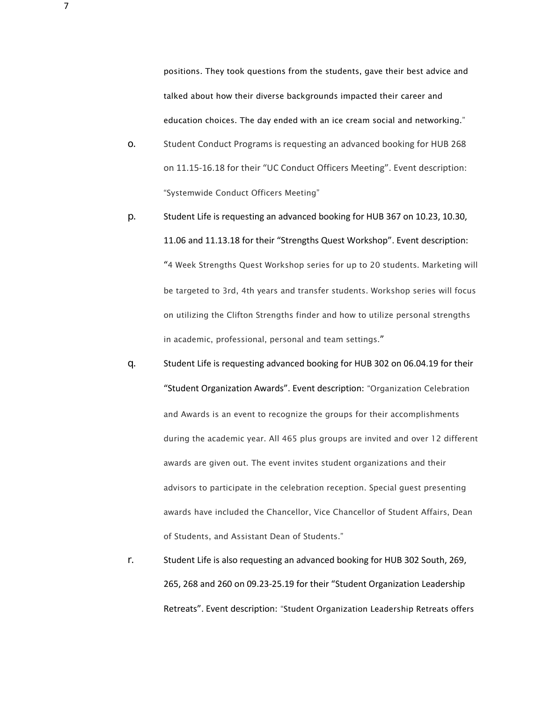positions. They took questions from the students, gave their best advice and talked about how their diverse backgrounds impacted their career and education choices. The day ended with an ice cream social and networking."

- o. Student Conduct Programs is requesting an advanced booking for HUB 268 on 11.15-16.18 for their "UC Conduct Officers Meeting". Event description: "Systemwide Conduct Officers Meeting"
- p. Student Life is requesting an advanced booking for HUB 367 on 10.23, 10.30, 11.06 and 11.13.18 for their "Strengths Quest Workshop". Event description: "4 Week Strengths Quest Workshop series for up to 20 students. Marketing will be targeted to 3rd, 4th years and transfer students. Workshop series will focus on utilizing the Clifton Strengths finder and how to utilize personal strengths in academic, professional, personal and team settings."
- q. Student Life is requesting advanced booking for HUB 302 on 06.04.19 for their "Student Organization Awards". Event description: "Organization Celebration and Awards is an event to recognize the groups for their accomplishments during the academic year. All 465 plus groups are invited and over 12 different awards are given out. The event invites student organizations and their advisors to participate in the celebration reception. Special guest presenting awards have included the Chancellor, Vice Chancellor of Student Affairs, Dean of Students, and Assistant Dean of Students."
- r. Student Life is also requesting an advanced booking for HUB 302 South, 269, 265, 268 and 260 on 09.23-25.19 for their "Student Organization Leadership Retreats". Event description: "Student Organization Leadership Retreats offers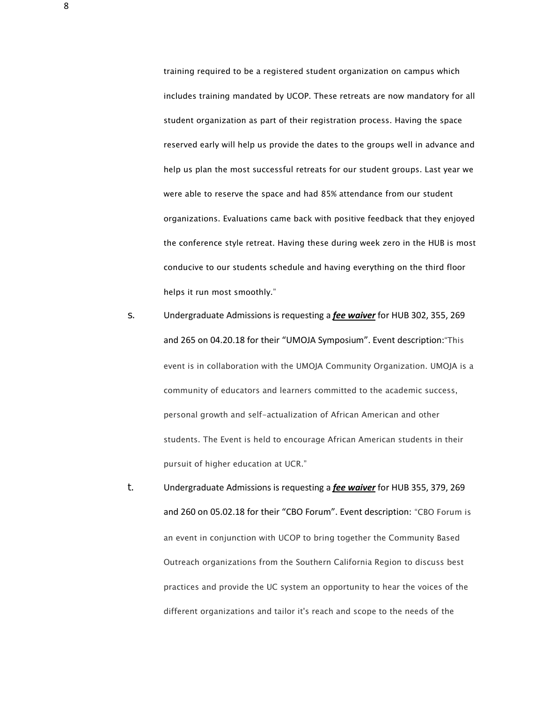training required to be a registered student organization on campus which includes training mandated by UCOP. These retreats are now mandatory for all student organization as part of their registration process. Having the space reserved early will help us provide the dates to the groups well in advance and help us plan the most successful retreats for our student groups. Last year we were able to reserve the space and had 85% attendance from our student organizations. Evaluations came back with positive feedback that they enjoyed the conference style retreat. Having these during week zero in the HUB is most conducive to our students schedule and having everything on the third floor helps it run most smoothly."

- s. Undergraduate Admissions is requesting a *fee waiver* for HUB 302, 355, 269 and 265 on 04.20.18 for their "UMOJA Symposium". Event description:"This event is in collaboration with the UMOJA Community Organization. UMOJA is a community of educators and learners committed to the academic success, personal growth and self-actualization of African American and other students. The Event is held to encourage African American students in their pursuit of higher education at UCR."
- t. Undergraduate Admissions is requesting a *fee waiver* for HUB 355, 379, 269 and 260 on 05.02.18 for their "CBO Forum". Event description: "CBO Forum is an event in conjunction with UCOP to bring together the Community Based Outreach organizations from the Southern California Region to discuss best practices and provide the UC system an opportunity to hear the voices of the different organizations and tailor it's reach and scope to the needs of the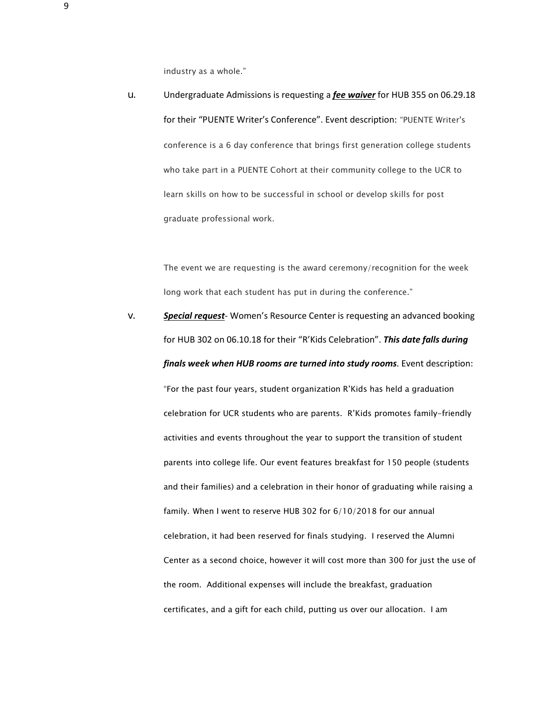industry as a whole."

u. Undergraduate Admissions is requesting a *fee waiver* for HUB 355 on 06.29.18 for their "PUENTE Writer's Conference". Event description: "PUENTE Writer's conference is a 6 day conference that brings first generation college students who take part in a PUENTE Cohort at their community college to the UCR to learn skills on how to be successful in school or develop skills for post graduate professional work.

> The event we are requesting is the award ceremony/recognition for the week long work that each student has put in during the conference."

v. *Special request*- Women's Resource Center is requesting an advanced booking for HUB 302 on 06.10.18 for their "R'Kids Celebration". *This date falls during finals week when HUB rooms are turned into study rooms*. Event description: "For the past four years, student organization R'Kids has held a graduation celebration for UCR students who are parents. R'Kids promotes family-friendly activities and events throughout the year to support the transition of student parents into college life. Our event features breakfast for 150 people (students and their families) and a celebration in their honor of graduating while raising a family. When I went to reserve HUB 302 for 6/10/2018 for our annual celebration, it had been reserved for finals studying. I reserved the Alumni Center as a second choice, however it will cost more than 300 for just the use of the room. Additional expenses will include the breakfast, graduation certificates, and a gift for each child, putting us over our allocation. I am